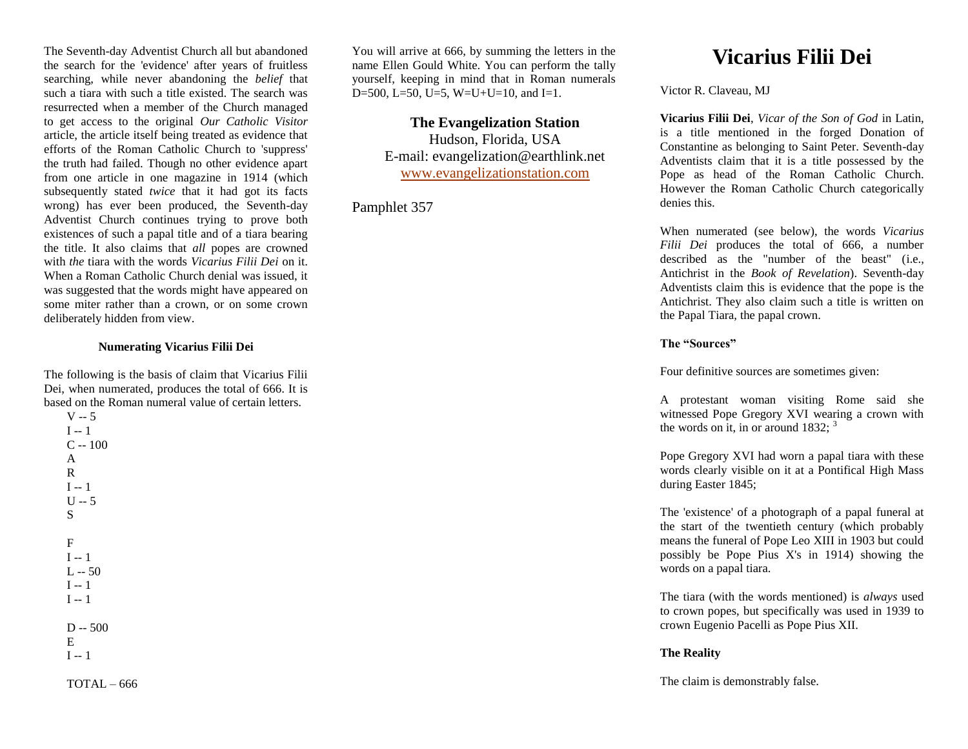The Seventh-day Adventist Church all but abandoned the search for the 'evidence' after years of fruitless searching, while never abandoning the *belief* that such a tiara with such a title existed. The search was resurrected when a member of the Church managed to get access to the original *Our Catholic Visitor* article, the article itself being treated as evidence that efforts of the Roman Catholic Church to 'suppress' the truth had failed. Though no other evidence apart from one article in one magazine in 1914 (which subsequently stated *twice* that it had got its facts wrong) has ever been produced, the Seventh-day Adventist Church continues trying to prove both existences of such a papal title and of a tiara bearing the title. It also claims that *all* popes are crowned with *the* tiara with the words *Vicarius Filii Dei* on it. When a Roman Catholic Church denial was issued, it was suggested that the words might have appeared on some miter rather than a crown, or on some crown deliberately hidden from view.

#### **Numerating Vicarius Filii Dei**

The following is the basis of claim that Vicarius Filii Dei, when numerated, produces the total of 666. It is based on the Roman numeral value of certain letters.

V -- 5  $I - 1$  $C = 100$ A R  $I - 1$  $U - 5$ S F  $I - 1$  $L = 50$  $I - 1$  $I = 1$  $D - 500$ E  $I - 1$ 

 $TOTAL-666$ 

You will arrive at 666, by summing the letters in the name Ellen Gould White. You can perform the tally yourself, keeping in mind that in Roman numerals D=500, L=50, U=5, W=U+U=10, and I=1.

### **The Evangelization Station**

Hudson, Florida, USA E-mail: evangelization@earthlink.net [www.evangelizationstation.com](http://www.pjpiisoe.org/)

Pamphlet 357

# **Vicarius Filii Dei**

Victor R. Claveau, MJ

**Vicarius Filii Dei**, *Vicar of the Son of God* in Latin, is a title mentioned in the forged Donation of Constantine as belonging to Saint Peter. Seventh-day Adventists claim that it is a title possessed by the Pope as head of the Roman Catholic Church. However the Roman Catholic Church categorically denies this.

When numerated (see below), the words *Vicarius Filii Dei* produces the total of 666, a number described as the "number of the beast" (i.e., Antichrist in the *Book of Revelation*). Seventh-day Adventists claim this is evidence that the pope is the Antichrist. They also claim such a title is written on the Papal Tiara, the papal crown.

### **The "Sources"**

Four definitive sources are sometimes given:

A protestant woman visiting Rome said she witnessed Pope Gregory XVI wearing a crown with the words on it, in or around  $1832$ ;  $3$ 

Pope Gregory XVI had worn a papal tiara with these words clearly visible on it at a Pontifical High Mass during Easter 1845;

The 'existence' of a photograph of a papal funeral at the start of the twentieth century (which probably means the funeral of Pope Leo XIII in 1903 but could possibly be Pope Pius X's in 1914) showing the words on a papal tiara.

The tiara (with the words mentioned) is *always* used to crown popes, but specifically was used in 1939 to crown Eugenio Pacelli as Pope Pius XII.

## **The Reality**

The claim is demonstrably false.